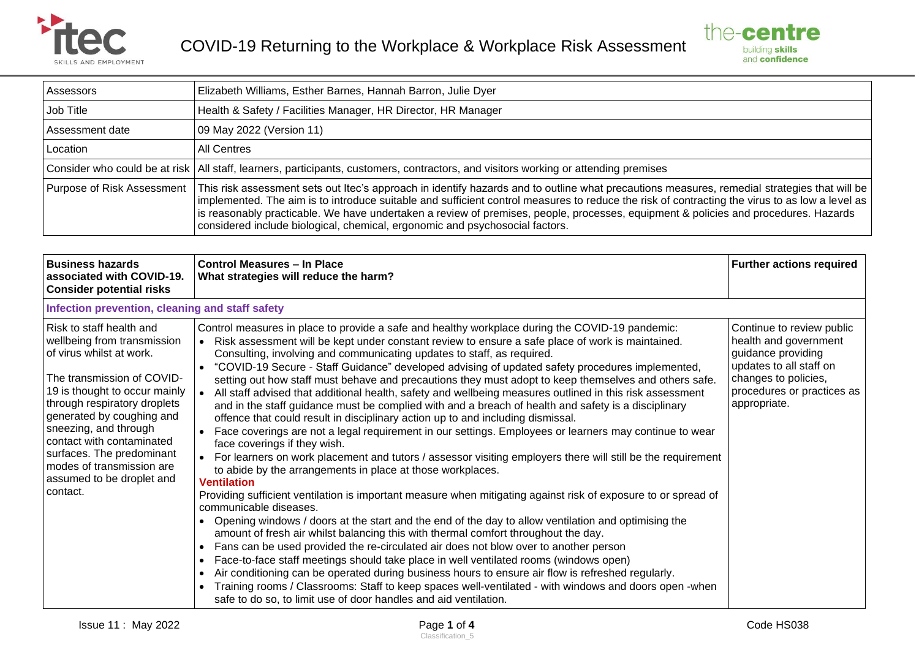



| Assessors                  | Elizabeth Williams, Esther Barnes, Hannah Barron, Julie Dyer                                                                                                                                                                                                                                                                                                                                                                                                                                                          |
|----------------------------|-----------------------------------------------------------------------------------------------------------------------------------------------------------------------------------------------------------------------------------------------------------------------------------------------------------------------------------------------------------------------------------------------------------------------------------------------------------------------------------------------------------------------|
| Job Title                  | Health & Safety / Facilities Manager, HR Director, HR Manager                                                                                                                                                                                                                                                                                                                                                                                                                                                         |
| Assessment date            | 09 May 2022 (Version 11)                                                                                                                                                                                                                                                                                                                                                                                                                                                                                              |
| Location                   | <b>All Centres</b>                                                                                                                                                                                                                                                                                                                                                                                                                                                                                                    |
|                            | Consider who could be at risk   All staff, learners, participants, customers, contractors, and visitors working or attending premises                                                                                                                                                                                                                                                                                                                                                                                 |
| Purpose of Risk Assessment | This risk assessment sets out Itec's approach in identify hazards and to outline what precautions measures, remedial strategies that will be<br>implemented. The aim is to introduce suitable and sufficient control measures to reduce the risk of contracting the virus to as low a level as<br>is reasonably practicable. We have undertaken a review of premises, people, processes, equipment & policies and procedures. Hazards<br>considered include biological, chemical, ergonomic and psychosocial factors. |

| <b>Business hazards</b><br>associated with COVID-19.<br><b>Consider potential risks</b>                                                                                                                                                                                                                                                                                  | <b>Control Measures - In Place</b><br>What strategies will reduce the harm?                                                                                                                                                                                                                                                                                                                                                                                                                                                                                                                                                                                                                                                                                                                                                                                                                                                                                                                                                                                                                                                                                                                                                                                                                                                                                                                                                                                                                                                                                                                                                                                                                                                                                                                                                                                                                                                                                                                                                            | <b>Further actions required</b>                                                                                                                                           |  |  |
|--------------------------------------------------------------------------------------------------------------------------------------------------------------------------------------------------------------------------------------------------------------------------------------------------------------------------------------------------------------------------|----------------------------------------------------------------------------------------------------------------------------------------------------------------------------------------------------------------------------------------------------------------------------------------------------------------------------------------------------------------------------------------------------------------------------------------------------------------------------------------------------------------------------------------------------------------------------------------------------------------------------------------------------------------------------------------------------------------------------------------------------------------------------------------------------------------------------------------------------------------------------------------------------------------------------------------------------------------------------------------------------------------------------------------------------------------------------------------------------------------------------------------------------------------------------------------------------------------------------------------------------------------------------------------------------------------------------------------------------------------------------------------------------------------------------------------------------------------------------------------------------------------------------------------------------------------------------------------------------------------------------------------------------------------------------------------------------------------------------------------------------------------------------------------------------------------------------------------------------------------------------------------------------------------------------------------------------------------------------------------------------------------------------------------|---------------------------------------------------------------------------------------------------------------------------------------------------------------------------|--|--|
| Infection prevention, cleaning and staff safety                                                                                                                                                                                                                                                                                                                          |                                                                                                                                                                                                                                                                                                                                                                                                                                                                                                                                                                                                                                                                                                                                                                                                                                                                                                                                                                                                                                                                                                                                                                                                                                                                                                                                                                                                                                                                                                                                                                                                                                                                                                                                                                                                                                                                                                                                                                                                                                        |                                                                                                                                                                           |  |  |
| Risk to staff health and<br>wellbeing from transmission<br>of virus whilst at work.<br>The transmission of COVID-<br>19 is thought to occur mainly<br>through respiratory droplets<br>generated by coughing and<br>sneezing, and through<br>contact with contaminated<br>surfaces. The predominant<br>modes of transmission are<br>assumed to be droplet and<br>contact. | Control measures in place to provide a safe and healthy workplace during the COVID-19 pandemic:<br>Risk assessment will be kept under constant review to ensure a safe place of work is maintained.<br>$\bullet$<br>Consulting, involving and communicating updates to staff, as required.<br>"COVID-19 Secure - Staff Guidance" developed advising of updated safety procedures implemented,<br>setting out how staff must behave and precautions they must adopt to keep themselves and others safe.<br>All staff advised that additional health, safety and wellbeing measures outlined in this risk assessment<br>$\bullet$<br>and in the staff guidance must be complied with and a breach of health and safety is a disciplinary<br>offence that could result in disciplinary action up to and including dismissal.<br>Face coverings are not a legal requirement in our settings. Employees or learners may continue to wear<br>$\bullet$<br>face coverings if they wish.<br>For learners on work placement and tutors / assessor visiting employers there will still be the requirement<br>to abide by the arrangements in place at those workplaces.<br><b>Ventilation</b><br>Providing sufficient ventilation is important measure when mitigating against risk of exposure to or spread of<br>communicable diseases.<br>Opening windows / doors at the start and the end of the day to allow ventilation and optimising the<br>amount of fresh air whilst balancing this with thermal comfort throughout the day.<br>Fans can be used provided the re-circulated air does not blow over to another person<br>$\bullet$<br>Face-to-face staff meetings should take place in well ventilated rooms (windows open)<br>Air conditioning can be operated during business hours to ensure air flow is refreshed regularly.<br>$\bullet$<br>Training rooms / Classrooms: Staff to keep spaces well-ventilated - with windows and doors open -when<br>$\bullet$<br>safe to do so, to limit use of door handles and aid ventilation. | Continue to review public<br>health and government<br>guidance providing<br>updates to all staff on<br>changes to policies,<br>procedures or practices as<br>appropriate. |  |  |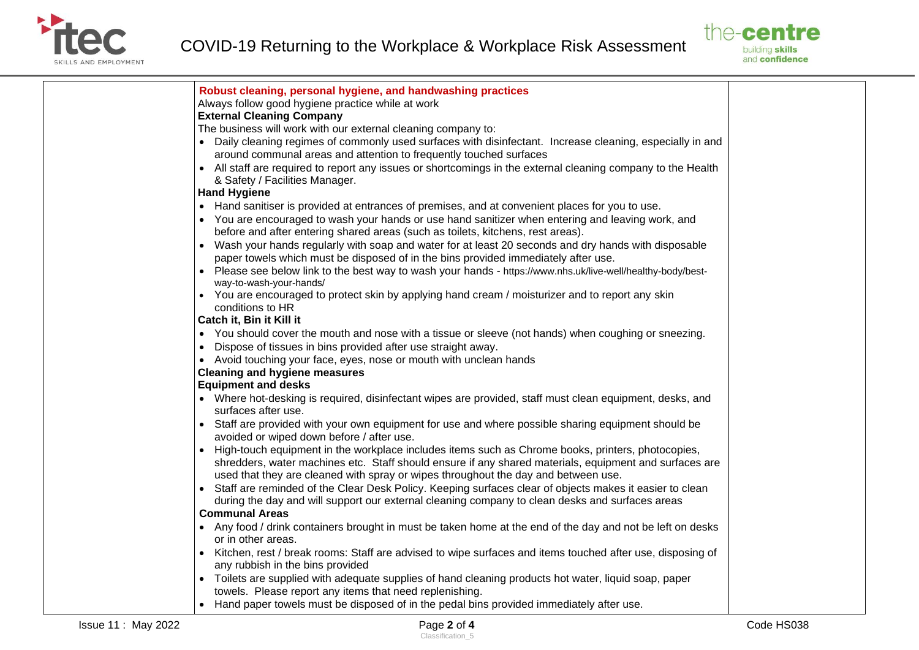



| <b>Issue 11: May 2022</b> | Page 2 of 4                                                                                                                                                                        | Code HS038 |
|---------------------------|------------------------------------------------------------------------------------------------------------------------------------------------------------------------------------|------------|
|                           | • Hand paper towels must be disposed of in the pedal bins provided immediately after use.                                                                                          |            |
|                           | towels. Please report any items that need replenishing.                                                                                                                            |            |
|                           | • Toilets are supplied with adequate supplies of hand cleaning products hot water, liquid soap, paper                                                                              |            |
|                           | any rubbish in the bins provided                                                                                                                                                   |            |
|                           | • Kitchen, rest / break rooms: Staff are advised to wipe surfaces and items touched after use, disposing of                                                                        |            |
|                           | • Any food / drink containers brought in must be taken home at the end of the day and not be left on desks<br>or in other areas.                                                   |            |
|                           | <b>Communal Areas</b>                                                                                                                                                              |            |
|                           | during the day and will support our external cleaning company to clean desks and surfaces areas                                                                                    |            |
|                           | Staff are reminded of the Clear Desk Policy. Keeping surfaces clear of objects makes it easier to clean                                                                            |            |
|                           | used that they are cleaned with spray or wipes throughout the day and between use.                                                                                                 |            |
|                           | shredders, water machines etc. Staff should ensure if any shared materials, equipment and surfaces are                                                                             |            |
|                           | • High-touch equipment in the workplace includes items such as Chrome books, printers, photocopies,                                                                                |            |
|                           | Staff are provided with your own equipment for use and where possible sharing equipment should be<br>$\bullet$<br>avoided or wiped down before / after use.                        |            |
|                           | surfaces after use.                                                                                                                                                                |            |
|                           | • Where hot-desking is required, disinfectant wipes are provided, staff must clean equipment, desks, and                                                                           |            |
|                           | <b>Equipment and desks</b>                                                                                                                                                         |            |
|                           | <b>Cleaning and hygiene measures</b>                                                                                                                                               |            |
|                           | • Avoid touching your face, eyes, nose or mouth with unclean hands                                                                                                                 |            |
|                           | • Dispose of tissues in bins provided after use straight away.                                                                                                                     |            |
|                           | • You should cover the mouth and nose with a tissue or sleeve (not hands) when coughing or sneezing.                                                                               |            |
|                           | Catch it, Bin it Kill it                                                                                                                                                           |            |
|                           | conditions to HR                                                                                                                                                                   |            |
|                           | way-to-wash-your-hands/<br>You are encouraged to protect skin by applying hand cream / moisturizer and to report any skin                                                          |            |
|                           | Please see below link to the best way to wash your hands - https://www.nhs.uk/live-well/healthy-body/best-<br>$\bullet$                                                            |            |
|                           | paper towels which must be disposed of in the bins provided immediately after use.                                                                                                 |            |
|                           | • Wash your hands regularly with soap and water for at least 20 seconds and dry hands with disposable                                                                              |            |
|                           | before and after entering shared areas (such as toilets, kitchens, rest areas).                                                                                                    |            |
|                           | • You are encouraged to wash your hands or use hand sanitizer when entering and leaving work, and                                                                                  |            |
|                           | • Hand sanitiser is provided at entrances of premises, and at convenient places for you to use.                                                                                    |            |
|                           | <b>Hand Hygiene</b>                                                                                                                                                                |            |
|                           | & Safety / Facilities Manager.                                                                                                                                                     |            |
|                           | around communal areas and attention to frequently touched surfaces<br>• All staff are required to report any issues or shortcomings in the external cleaning company to the Health |            |
|                           | • Daily cleaning regimes of commonly used surfaces with disinfectant. Increase cleaning, especially in and                                                                         |            |
|                           | The business will work with our external cleaning company to:                                                                                                                      |            |
|                           | <b>External Cleaning Company</b>                                                                                                                                                   |            |
|                           | Always follow good hygiene practice while at work                                                                                                                                  |            |
|                           |                                                                                                                                                                                    |            |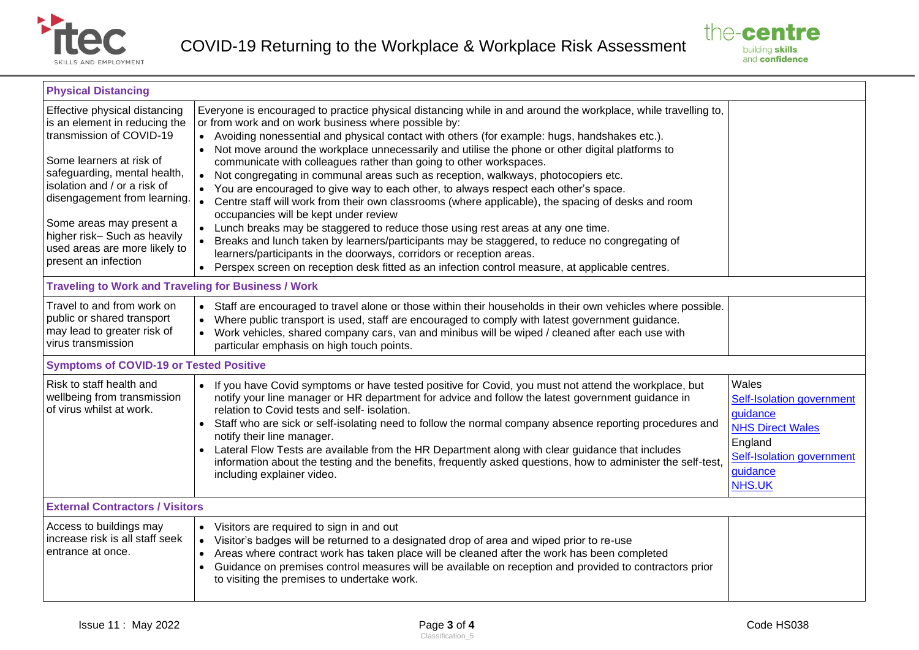



| <b>Physical Distancing</b>                                                                                                                                                                                                                                                                                                                 |                                                                                                                                                                                                                                                                                                                                                                                                                                                                                                                                                                                                                                                                                                                                                                                                                                                                                                                                                                                                                                                                                                                                                                                                  |                                                                                                                                                |  |  |
|--------------------------------------------------------------------------------------------------------------------------------------------------------------------------------------------------------------------------------------------------------------------------------------------------------------------------------------------|--------------------------------------------------------------------------------------------------------------------------------------------------------------------------------------------------------------------------------------------------------------------------------------------------------------------------------------------------------------------------------------------------------------------------------------------------------------------------------------------------------------------------------------------------------------------------------------------------------------------------------------------------------------------------------------------------------------------------------------------------------------------------------------------------------------------------------------------------------------------------------------------------------------------------------------------------------------------------------------------------------------------------------------------------------------------------------------------------------------------------------------------------------------------------------------------------|------------------------------------------------------------------------------------------------------------------------------------------------|--|--|
| Effective physical distancing<br>is an element in reducing the<br>transmission of COVID-19<br>Some learners at risk of<br>safeguarding, mental health,<br>isolation and / or a risk of<br>disengagement from learning.<br>Some areas may present a<br>higher risk-Such as heavily<br>used areas are more likely to<br>present an infection | Everyone is encouraged to practice physical distancing while in and around the workplace, while travelling to,<br>or from work and on work business where possible by:<br>• Avoiding nonessential and physical contact with others (for example: hugs, handshakes etc.).<br>Not move around the workplace unnecessarily and utilise the phone or other digital platforms to<br>$\bullet$<br>communicate with colleagues rather than going to other workspaces.<br>Not congregating in communal areas such as reception, walkways, photocopiers etc.<br>$\bullet$<br>You are encouraged to give way to each other, to always respect each other's space.<br>$\bullet$<br>Centre staff will work from their own classrooms (where applicable), the spacing of desks and room<br>occupancies will be kept under review<br>Lunch breaks may be staggered to reduce those using rest areas at any one time.<br>Breaks and lunch taken by learners/participants may be staggered, to reduce no congregating of<br>learners/participants in the doorways, corridors or reception areas.<br>Perspex screen on reception desk fitted as an infection control measure, at applicable centres.<br>$\bullet$ |                                                                                                                                                |  |  |
| <b>Traveling to Work and Traveling for Business / Work</b>                                                                                                                                                                                                                                                                                 |                                                                                                                                                                                                                                                                                                                                                                                                                                                                                                                                                                                                                                                                                                                                                                                                                                                                                                                                                                                                                                                                                                                                                                                                  |                                                                                                                                                |  |  |
| Travel to and from work on<br>public or shared transport<br>may lead to greater risk of<br>virus transmission                                                                                                                                                                                                                              | • Staff are encouraged to travel alone or those within their households in their own vehicles where possible.<br>Where public transport is used, staff are encouraged to comply with latest government guidance.<br>Work vehicles, shared company cars, van and minibus will be wiped / cleaned after each use with<br>particular emphasis on high touch points.                                                                                                                                                                                                                                                                                                                                                                                                                                                                                                                                                                                                                                                                                                                                                                                                                                 |                                                                                                                                                |  |  |
| <b>Symptoms of COVID-19 or Tested Positive</b>                                                                                                                                                                                                                                                                                             |                                                                                                                                                                                                                                                                                                                                                                                                                                                                                                                                                                                                                                                                                                                                                                                                                                                                                                                                                                                                                                                                                                                                                                                                  |                                                                                                                                                |  |  |
| Risk to staff health and<br>wellbeing from transmission<br>of virus whilst at work.                                                                                                                                                                                                                                                        | If you have Covid symptoms or have tested positive for Covid, you must not attend the workplace, but<br>$\bullet$<br>notify your line manager or HR department for advice and follow the latest government guidance in<br>relation to Covid tests and self- isolation.<br>Staff who are sick or self-isolating need to follow the normal company absence reporting procedures and<br>$\bullet$<br>notify their line manager.<br>Lateral Flow Tests are available from the HR Department along with clear guidance that includes<br>information about the testing and the benefits, frequently asked questions, how to administer the self-test,<br>including explainer video.                                                                                                                                                                                                                                                                                                                                                                                                                                                                                                                    | Wales<br>Self-Isolation government<br>guidance<br><b>NHS Direct Wales</b><br>England<br>Self-Isolation government<br>guidance<br><b>NHS.UK</b> |  |  |
| <b>External Contractors / Visitors</b>                                                                                                                                                                                                                                                                                                     |                                                                                                                                                                                                                                                                                                                                                                                                                                                                                                                                                                                                                                                                                                                                                                                                                                                                                                                                                                                                                                                                                                                                                                                                  |                                                                                                                                                |  |  |
| Access to buildings may<br>increase risk is all staff seek<br>entrance at once.                                                                                                                                                                                                                                                            | Visitors are required to sign in and out<br>$\bullet$<br>Visitor's badges will be returned to a designated drop of area and wiped prior to re-use<br>$\bullet$<br>Areas where contract work has taken place will be cleaned after the work has been completed<br>Guidance on premises control measures will be available on reception and provided to contractors prior<br>to visiting the premises to undertake work.                                                                                                                                                                                                                                                                                                                                                                                                                                                                                                                                                                                                                                                                                                                                                                           |                                                                                                                                                |  |  |